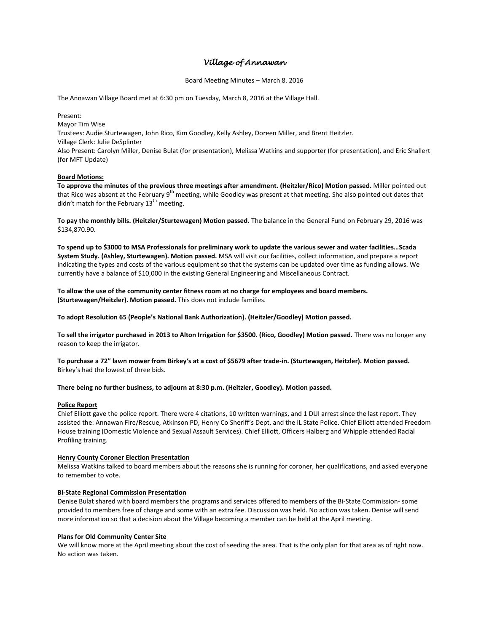# *Village of Annawan*

Board Meeting Minutes – March 8. 2016

The Annawan Village Board met at 6:30 pm on Tuesday, March 8, 2016 at the Village Hall.

Present:

Mayor Tim Wise

Trustees: Audie Sturtewagen, John Rico, Kim Goodley, Kelly Ashley, Doreen Miller, and Brent Heitzler.

Village Clerk: Julie DeSplinter

Also Present: Carolyn Miller, Denise Bulat (for presentation), Melissa Watkins and supporter (for presentation), and Eric Shallert (for MFT Update)

## **Board Motions:**

**To approve the minutes of the previous three meetings after amendment. (Heitzler/Rico) Motion passed.** Miller pointed out that Rico was absent at the February 9<sup>th</sup> meeting, while Goodley was present at that meeting. She also pointed out dates that didn't match for the February  $13<sup>th</sup>$  meeting.

**To pay the monthly bills. (Heitzler/Sturtewagen) Motion passed.** The balance in the General Fund on February 29, 2016 was \$134,870.90.

**To spend up to \$3000 to MSA Professionals for preliminary work to update the various sewer and water facilities…Scada System Study. (Ashley, Sturtewagen). Motion passed.** MSA will visit our facilities, collect information, and prepare a report indicating the types and costs of the various equipment so that the systems can be updated over time as funding allows. We currently have a balance of \$10,000 in the existing General Engineering and Miscellaneous Contract.

**To allow the use of the community center fitness room at no charge for employees and board members. (Sturtewagen/Heitzler). Motion passed.** This does not include families.

**To adopt Resolution 65 (People's National Bank Authorization). (Heitzler/Goodley) Motion passed.**

**To sell the irrigator purchased in 2013 to Alton Irrigation for \$3500. (Rico, Goodley) Motion passed.** There was no longer any reason to keep the irrigator.

**To purchase a 72" lawn mower from Birkey's at a cost of \$5679 after trade-in. (Sturtewagen, Heitzler). Motion passed.** Birkey's had the lowest of three bids.

## **There being no further business, to adjourn at 8:30 p.m. (Heitzler, Goodley). Motion passed.**

#### **Police Report**

Chief Elliott gave the police report. There were 4 citations, 10 written warnings, and 1 DUI arrest since the last report. They assisted the: Annawan Fire/Rescue, Atkinson PD, Henry Co Sheriff's Dept, and the IL State Police. Chief Elliott attended Freedom House training (Domestic Violence and Sexual Assault Services). Chief Elliott, Officers Halberg and Whipple attended Racial Profiling training.

## **Henry County Coroner Election Presentation**

Melissa Watkins talked to board members about the reasons she is running for coroner, her qualifications, and asked everyone to remember to vote.

## **Bi-State Regional Commission Presentation**

Denise Bulat shared with board members the programs and services offered to members of the Bi-State Commission- some provided to members free of charge and some with an extra fee. Discussion was held. No action was taken. Denise will send more information so that a decision about the Village becoming a member can be held at the April meeting.

## **Plans for Old Community Center Site**

We will know more at the April meeting about the cost of seeding the area. That is the only plan for that area as of right now. No action was taken.